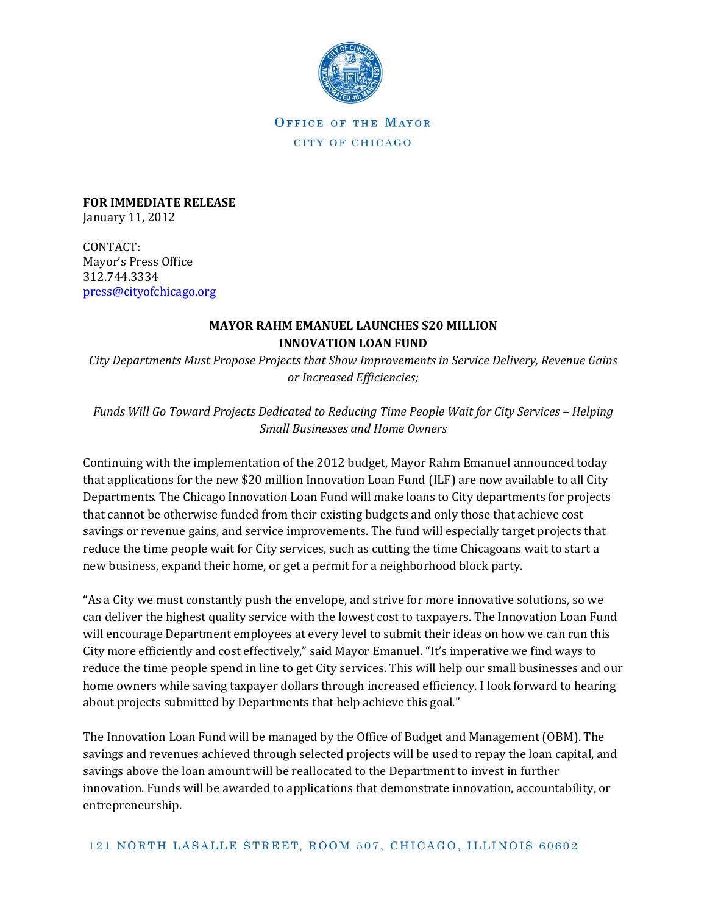

OFFICE OF THE MAYOR CITY OF CHICAGO

**FOR IMMEDIATE RELEASE** January 11, 2012

CONTACT: Mayor's Press Office 312.744.3334 [press@cityofchicago.org](mailto:press@cityofchicago.org)

## **MAYOR RAHM EMANUEL LAUNCHES \$20 MILLION INNOVATION LOAN FUND**

*City Departments Must Propose Projects that Show Improvements in Service Delivery, Revenue Gains or Increased Efficiencies;* 

*Funds Will Go Toward Projects Dedicated to Reducing Time People Wait for City Services - Helping Small Businesses and Home Owners* 

Continuing with the implementation of the 2012 budget, Mayor Rahm Emanuel announced today that applications for the new \$20 million Innovation Loan Fund (ILF) are now available to all City Departments. The Chicago Innovation Loan Fund will make loans to City departments for projects that cannot be otherwise funded from their existing budgets and only those that achieve cost savings or revenue gains, and service improvements. The fund will especially target projects that reduce the time people wait for City services, such as cutting the time Chicagoans wait to start a new business, expand their home, or get a permit for a neighborhood block party.

"As a City we must constantly push the envelope, and strive for more innovative solutions, so we can deliver the highest quality service with the lowest cost to taxpayers. The Innovation Loan Fund will encourage Department employees at every level to submit their ideas on how we can run this City more efficiently and cost effectively," said Mayor Emanuel. "It's imperative we find ways to reduce the time people spend in line to get City services. This will help our small businesses and our home owners while saving taxpayer dollars through increased efficiency. I look forward to hearing about projects submitted by Departments that help achieve this goal."

The Innovation Loan Fund will be managed by the Office of Budget and Management (OBM). The savings and revenues achieved through selected projects will be used to repay the loan capital, and savings above the loan amount will be reallocated to the Department to invest in further innovation. Funds will be awarded to applications that demonstrate innovation, accountability, or entrepreneurship.